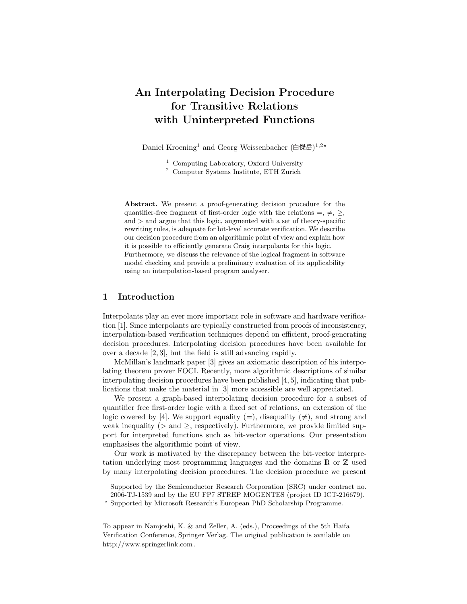# An Interpolating Decision Procedure for Transitive Relations with Uninterpreted Functions

Daniel Kroening<sup>1</sup> and Georg Weissenbacher (白傑岳)<sup>1,2\*</sup>

- <sup>1</sup> Computing Laboratory, Oxford University
- <sup>2</sup> Computer Systems Institute, ETH Zurich

Abstract. We present a proof-generating decision procedure for the quantifier-free fragment of first-order logic with the relations  $=, \neq, \geq,$  $and$   $>$  and argue that this logic, augmented with a set of theory-specific rewriting rules, is adequate for bit-level accurate verification. We describe our decision procedure from an algorithmic point of view and explain how it is possible to efficiently generate Craig interpolants for this logic. Furthermore, we discuss the relevance of the logical fragment in software model checking and provide a preliminary evaluation of its applicability using an interpolation-based program analyser.

## 1 Introduction

Interpolants play an ever more important role in software and hardware verification [1]. Since interpolants are typically constructed from proofs of inconsistency, interpolation-based verification techniques depend on efficient, proof-generating decision procedures. Interpolating decision procedures have been available for over a decade [2, 3], but the field is still advancing rapidly.

McMillan's landmark paper [3] gives an axiomatic description of his interpolating theorem prover FOCI. Recently, more algorithmic descriptions of similar interpolating decision procedures have been published  $[4, 5]$ , indicating that publications that make the material in [3] more accessible are well appreciated.

We present a graph-based interpolating decision procedure for a subset of quantifier free first-order logic with a fixed set of relations, an extension of the logic covered by [4]. We support equality (=), disequality ( $\neq$ ), and strong and weak inequality ( $>$  and  $>$ , respectively). Furthermore, we provide limited support for interpreted functions such as bit-vector operations. Our presentation emphasises the algorithmic point of view.

Our work is motivated by the discrepancy between the bit-vector interpretation underlying most programming languages and the domains R or Z used by many interpolating decision procedures. The decision procedure we present

Supported by the Semiconductor Research Corporation (SRC) under contract no. 2006-TJ-1539 and by the EU FP7 STREP MOGENTES (project ID ICT-216679).

<sup>?</sup> Supported by Microsoft Research's European PhD Scholarship Programme.

To appear in Namjoshi, K. & and Zeller, A. (eds.), Proceedings of the 5th Haifa Verification Conference, Springer Verlag. The original publication is available on http://www.springerlink.com .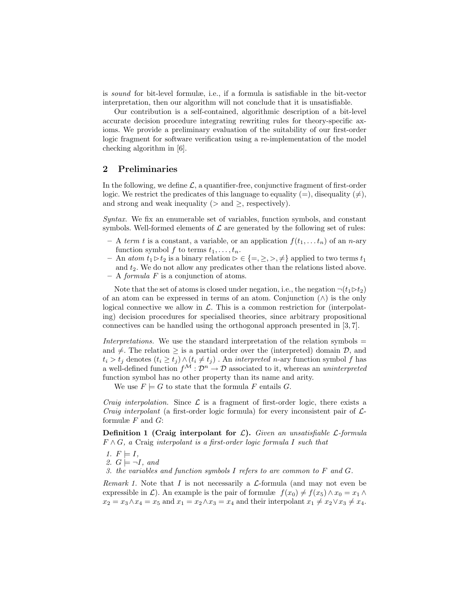is sound for bit-level formulæ, i.e., if a formula is satisfiable in the bit-vector interpretation, then our algorithm will not conclude that it is unsatisfiable.

Our contribution is a self-contained, algorithmic description of a bit-level accurate decision procedure integrating rewriting rules for theory-specific axioms. We provide a preliminary evaluation of the suitability of our first-order logic fragment for software verification using a re-implementation of the model checking algorithm in [6].

### 2 Preliminaries

In the following, we define  $\mathcal{L}$ , a quantifier-free, conjunctive fragment of first-order logic. We restrict the predicates of this language to equality  $(=)$ , disequality  $(\neq)$ , and strong and weak inequality ( $>$  and  $\geq$ , respectively).

Syntax. We fix an enumerable set of variables, function symbols, and constant symbols. Well-formed elements of  $\mathcal L$  are generated by the following set of rules:

- A term t is a constant, a variable, or an application  $f(t_1, \ldots, t_n)$  of an n-ary function symbol f to terms  $t_1, \ldots, t_n$ .
- An atom  $t_1 \triangleright t_2$  is a binary relation  $\triangleright \in \{ =, \geq, >, \neq \}$  applied to two terms  $t_1$ and  $t_2$ . We do not allow any predicates other than the relations listed above.
- $A formula F$  is a conjunction of atoms.

Note that the set of atoms is closed under negation, i.e., the negation  $\neg(t_1 \triangleright t_2)$ of an atom can be expressed in terms of an atom. Conjunction  $(\wedge)$  is the only logical connective we allow in  $\mathcal{L}$ . This is a common restriction for (interpolating) decision procedures for specialised theories, since arbitrary propositional connectives can be handled using the orthogonal approach presented in [3, 7].

Interpretations. We use the standard interpretation of the relation symbols  $=$ and  $\neq$ . The relation  $\geq$  is a partial order over the (interpreted) domain  $\mathcal{D}$ , and  $t_i > t_j$  denotes  $(t_i \ge t_j) \wedge (t_i \ne t_j)$ . An *interpreted n*-ary function symbol f has a well-defined function  $f^{\mathcal{M}} : \mathcal{D}^n \to \mathcal{D}$  associated to it, whereas an uninterpreted function symbol has no other property than its name and arity.

We use  $F \models G$  to state that the formula F entails G.

*Craig interpolation.* Since  $\mathcal{L}$  is a fragment of first-order logic, there exists a *Craig interpolant* (a first-order logic formula) for every inconsistent pair of  $\mathcal{L}$ formulæ  $F$  and  $G$ :

**Definition 1 (Craig interpolant for**  $\mathcal{L}$ **).** Given an unsatisfiable  $\mathcal{L}$ -formula  $F \wedge G$ , a Craig interpolant is a first-order logic formula I such that

$$
1. \ F \models I,
$$

2. 
$$
G \models \neg I
$$
, and

3. the variables and function symbols I refers to are common to  $F$  and  $G$ .

*Remark 1.* Note that I is not necessarily a  $\mathcal{L}$ -formula (and may not even be expressible in  $\mathcal{L}$ ). An example is the pair of formulæ  $f(x_0) \neq f(x_5) \wedge x_0 = x_1 \wedge$  $x_2 = x_3 \wedge x_4 = x_5$  and  $x_1 = x_2 \wedge x_3 = x_4$  and their interpolant  $x_1 \neq x_2 \vee x_3 \neq x_4$ .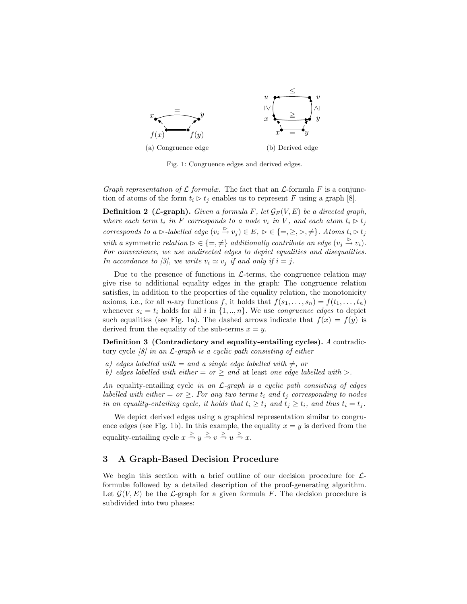

Fig. 1: Congruence edges and derived edges.

Graph representation of  $\mathcal L$  formulæ. The fact that an  $\mathcal L$ -formula F is a conjunction of atoms of the form  $t_i \triangleright t_j$  enables us to represent F using a graph [8].

**Definition 2** (*L*-graph). Given a formula F, let  $\mathcal{G}_F(V, E)$  be a directed graph, where each term  $t_i$  in F corresponds to a node  $v_i$  in V, and each atom  $t_i \triangleright t_j$ corresponds to a  $\triangleright$ -labelled edge  $(v_i \stackrel{\triangleright}{\to} v_j) \in E$ ,  $\triangleright \in \{ =, \geq, >, \neq \}$ . Atoms  $t_i \triangleright t_j$ with a symmetric relation  $\rhd \in \{ =, \neq \}$  additionally contribute an edge  $(v_j \overset{\rhd}{\to} v_i)$ . For convenience, we use undirected edges to depict equalities and disequalities. In accordance to [3], we write  $v_i \simeq v_j$  if and only if  $i = j$ .

Due to the presence of functions in  $\mathcal{L}$ -terms, the congruence relation may give rise to additional equality edges in the graph: The congruence relation satisfies, in addition to the properties of the equality relation, the monotonicity axioms, i.e., for all *n*-ary functions f, it holds that  $f(s_1, \ldots, s_n) = f(t_1, \ldots, t_n)$ whenever  $s_i = t_i$  holds for all i in  $\{1, ..., n\}$ . We use *congruence edges* to depict such equalities (see Fig. 1a). The dashed arrows indicate that  $f(x) = f(y)$  is derived from the equality of the sub-terms  $x = y$ .

Definition 3 (Contradictory and equality-entailing cycles). A contradictory cycle  $\left[\delta\right]$  in an  $\mathcal{L}$ -graph is a cyclic path consisting of either

- a) edges labelled with  $=$  and a single edge labelled with  $\neq$ , or
- b) edges labelled with either  $=$  or  $\geq$  and at least one edge labelled with  $\geq$ .

An equality-entailing cycle in an  $\mathcal{L}$ -graph is a cyclic path consisting of edges labelled with either  $=$  or  $\geq$ . For any two terms  $t_i$  and  $t_j$  corresponding to nodes in an equality-entailing cycle, it holds that  $t_i \ge t_j$  and  $t_j \ge t_i$ , and thus  $t_i = t_j$ .

We depict derived edges using a graphical representation similar to congruence edges (see Fig. 1b). In this example, the equality  $x = y$  is derived from the equality-entailing cycle  $x \stackrel{\geq}{\Rightarrow} y \stackrel{\geq}{\Rightarrow} v \stackrel{\geq}{\Rightarrow} u \stackrel{\geq}{\Rightarrow} x$ .

## 3 A Graph-Based Decision Procedure

We begin this section with a brief outline of our decision procedure for  $\mathcal{L}$ formulæ followed by a detailed description of the proof-generating algorithm. Let  $\mathcal{G}(V, E)$  be the L-graph for a given formula F. The decision procedure is subdivided into two phases: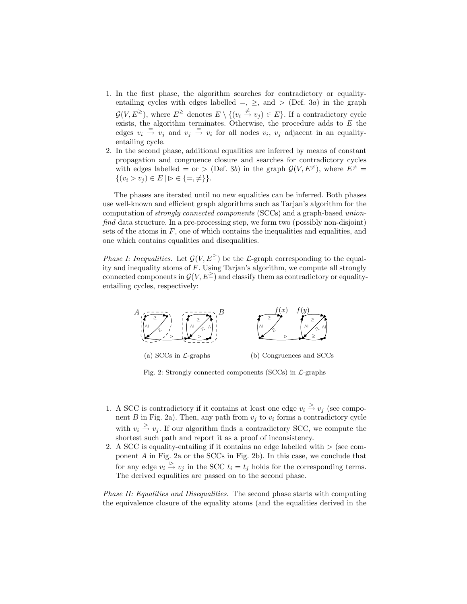- 1. In the first phase, the algorithm searches for contradictory or equalityentailing cycles with edges labelled  $=, \ge,$  and  $>$  (Def. 3a) in the graph  $\mathcal{G}(V, E^{\geq})$ , where  $E^{\geq}$  denotes  $E \setminus \{(v_i \stackrel{\neq}{\to} v_j) \in E\}$ . If a contradictory cycle exists, the algorithm terminates. Otherwise, the procedure adds to  $E$  the edges  $v_i \stackrel{=}{\rightarrow} v_j$  and  $v_j \stackrel{=}{\rightarrow} v_i$  for all nodes  $v_i$ ,  $v_j$  adjacent in an equalityentailing cycle.
- 2. In the second phase, additional equalities are inferred by means of constant propagation and congruence closure and searches for contradictory cycles with edges labelled = or > (Def. 3b) in the graph  $\mathcal{G}(V, E^{\neq})$ , where  $E^{\neq}$  =  $\{(v_i \triangleright v_j) \in E \mid \triangleright \in \{=, \neq \}\}.$

The phases are iterated until no new equalities can be inferred. Both phases use well-known and efficient graph algorithms such as Tarjan's algorithm for the computation of strongly connected components (SCCs) and a graph-based unionfind data structure. In a pre-processing step, we form two (possibly non-disjoint) sets of the atoms in  $F$ , one of which contains the inequalities and equalities, and one which contains equalities and disequalities.

*Phase I: Inequalities.* Let  $\mathcal{G}(V, E^{\geq})$  be the  $\mathcal{L}$ -graph corresponding to the equality and inequality atoms of F. Using Tarjan's algorithm, we compute all strongly connected components in  $\mathcal{G}(V, E^{\geq})$  and classify them as contradictory or equalityentailing cycles, respectively:



Fig. 2: Strongly connected components (SCCs) in  $\mathcal{L}$ -graphs

- 1. A SCC is contradictory if it contains at least one edge  $v_i \stackrel{>}{\rightarrow} v_j$  (see component B in Fig. 2a). Then, any path from  $v_i$  to  $v_i$  forms a contradictory cycle with  $v_i \geq v_j$ . If our algorithm finds a contradictory SCC, we compute the shortest such path and report it as a proof of inconsistency.
- 2. A SCC is equality-entailing if it contains no edge labelled with  $>$  (see component A in Fig. 2a or the SCCs in Fig. 2b). In this case, we conclude that for any edge  $v_i \stackrel{\triangleright}{\rightarrow} v_j$  in the SCC  $t_i = t_j$  holds for the corresponding terms. The derived equalities are passed on to the second phase.

Phase II: Equalities and Disequalities. The second phase starts with computing the equivalence closure of the equality atoms (and the equalities derived in the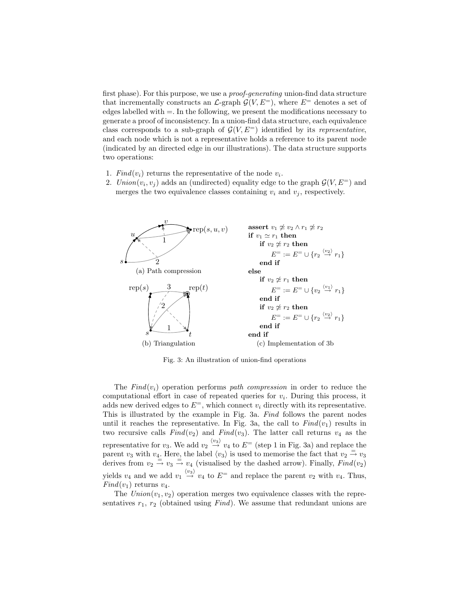first phase). For this purpose, we use a proof-generating union-find data structure that incrementally constructs an  $\mathcal{L}\text{-graph }\mathcal{G}(V,E^=)$ , where  $E^=$  denotes a set of edges labelled with  $=$ . In the following, we present the modifications necessary to generate a proof of inconsistency. In a union-find data structure, each equivalence class corresponds to a sub-graph of  $\mathcal{G}(V, E^=)$  identified by its representative, and each node which is not a representative holds a reference to its parent node (indicated by an directed edge in our illustrations). The data structure supports two operations:

- 1.  $Find(v_i)$  returns the representative of the node  $v_i$ .
- 2.  $Union(v_i, v_j)$  adds an (undirected) equality edge to the graph  $\mathcal{G}(V, E^=)$  and merges the two equivalence classes containing  $v_i$  and  $v_j$ , respectively.



Fig. 3: An illustration of union-find operations

The  $Find(v_i)$  operation performs path compression in order to reduce the computational effort in case of repeated queries for  $v_i$ . During this process, it adds new derived edges to  $E^=$ , which connect  $v_i$  directly with its representative. This is illustrated by the example in Fig. 3a. Find follows the parent nodes until it reaches the representative. In Fig. 3a, the call to  $Find(v_1)$  results in two recursive calls  $Find(v_2)$  and  $Find(v_3)$ . The latter call returns  $v_4$  as the representative for  $v_3$ . We add  $v_2 \stackrel{\langle v_3 \rangle}{\rightarrow} v_4$  to  $E^-$  (step 1 in Fig. 3a) and replace the parent  $v_3$  with  $v_4$ . Here, the label  $\langle v_3 \rangle$  is used to memorise the fact that  $v_2 = v_3$ derives from  $v_2 \stackrel{\cong}{\rightarrow} v_3 \stackrel{\cong}{\rightarrow} v_4$  (visualised by the dashed arrow). Finally,  $Find(v_2)$ yields  $v_4$  and we add  $v_1 \stackrel{\langle v_3 \rangle}{\rightarrow} v_4$  to  $E$ <sup>=</sup> and replace the parent  $v_2$  with  $v_4$ . Thus,  $Find(v_1)$  returns  $v_4$ .

The  $Union(v_1, v_2)$  operation merges two equivalence classes with the representatives  $r_1$ ,  $r_2$  (obtained using Find). We assume that redundant unions are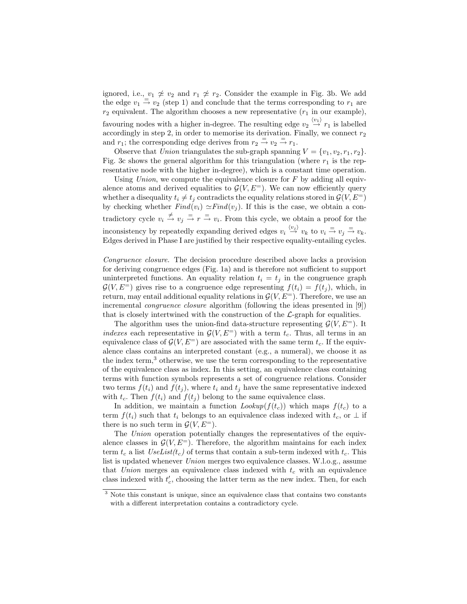ignored, i.e.,  $v_1 \not\cong v_2$  and  $r_1 \not\cong r_2$ . Consider the example in Fig. 3b. We add the edge  $v_1 \stackrel{\cdot}{\rightarrow} v_2$  (step 1) and conclude that the terms corresponding to  $r_1$  are  $r_2$  equivalent. The algorithm chooses a new representative  $(r_1$  in our example), favouring nodes with a higher in-degree. The resulting edge  $v_2 \stackrel{\langle v_1 \rangle}{\rightarrow} r_1$  is labelled accordingly in step 2, in order to memorise its derivation. Finally, we connect  $r_2$ and  $r_1$ ; the corresponding edge derives from  $r_2 \stackrel{=}{\rightarrow} v_2 \stackrel{=}{\rightarrow} r_1$ .

Observe that Union triangulates the sub-graph spanning  $V = \{v_1, v_2, r_1, r_2\}.$ Fig. 3c shows the general algorithm for this triangulation (where  $r_1$  is the representative node with the higher in-degree), which is a constant time operation.

Using Union, we compute the equivalence closure for  $F$  by adding all equivalence atoms and derived equalities to  $\mathcal{G}(V, E^=)$ . We can now efficiently query whether a disequality  $t_i \neq t_j$  contradicts the equality relations stored in  $\mathcal{G}(V, E^=)$ by checking whether  $Find(v_i) \simeq Find(v_j)$ . If this is the case, we obtain a contradictory cycle  $v_i \stackrel{\neq}{\to} v_j \stackrel{=}{\to} r \stackrel{=}{\to} v_i$ . From this cycle, we obtain a proof for the inconsistency by repeatedly expanding derived edges  $v_i \stackrel{\langle v_j \rangle}{\rightarrow} v_k$  to  $v_i \stackrel{=}{\rightarrow} v_j \stackrel{=}{\rightarrow} v_k$ . Edges derived in Phase I are justified by their respective equality-entailing cycles.

Congruence closure. The decision procedure described above lacks a provision for deriving congruence edges (Fig. 1a) and is therefore not sufficient to support uninterpreted functions. An equality relation  $t_i = t_j$  in the congruence graph  $\mathcal{G}(V, E^=)$  gives rise to a congruence edge representing  $f(t_i) = f(t_i)$ , which, in return, may entail additional equality relations in  $\mathcal{G}(V, E^=)$ . Therefore, we use an incremental congruence closure algorithm (following the ideas presented in [9]) that is closely intertwined with the construction of the  $\mathcal{L}$ -graph for equalities.

The algorithm uses the union-find data-structure representing  $\mathcal{G}(V, E^=)$ . It indexes each representative in  $\mathcal{G}(V, E^=)$  with a term  $t_c$ . Thus, all terms in an equivalence class of  $\mathcal{G}(V, E^=)$  are associated with the same term  $t_c$ . If the equivalence class contains an interpreted constant (e.g., a numeral), we choose it as the index term, $3$  otherwise, we use the term corresponding to the representative of the equivalence class as index. In this setting, an equivalence class containing terms with function symbols represents a set of congruence relations. Consider two terms  $f(t_i)$  and  $f(t_j)$ , where  $t_i$  and  $t_j$  have the same representative indexed with  $t_c$ . Then  $f(t_i)$  and  $f(t_j)$  belong to the same equivalence class.

In addition, we maintain a function  $Loop(f(t_c))$  which maps  $f(t_c)$  to a term  $f(t_i)$  such that  $t_i$  belongs to an equivalence class indexed with  $t_c$ , or  $\perp$  if there is no such term in  $\mathcal{G}(V, E^=)$ .

The Union operation potentially changes the representatives of the equivalence classes in  $\mathcal{G}(V, E^+)$ . Therefore, the algorithm maintains for each index term  $t_c$  a list  $UseList(t_c)$  of terms that contain a sub-term indexed with  $t_c$ . This list is updated whenever Union merges two equivalence classes. W.l.o.g., assume that Union merges an equivalence class indexed with  $t_c$  with an equivalence class indexed with  $t'_{c}$ , choosing the latter term as the new index. Then, for each

<sup>&</sup>lt;sup>3</sup> Note this constant is unique, since an equivalence class that contains two constants with a different interpretation contains a contradictory cycle.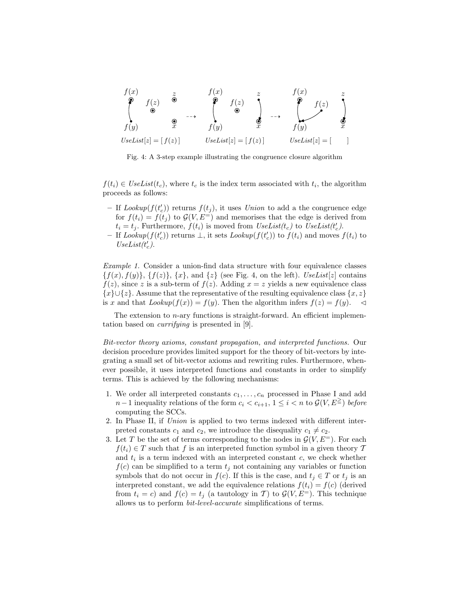

Fig. 4: A 3-step example illustrating the congruence closure algorithm

 $f(t_i) \in \text{UseList}(t_c)$ , where  $t_c$  is the index term associated with  $t_i$ , the algorithm proceeds as follows:

- If  $Lookup(f(t'_{c}))$  returns  $f(t_{j}),$  it uses Union to add a the congruence edge for  $f(t_i) = f(t_j)$  to  $\mathcal{G}(V, E^=)$  and memorises that the edge is derived from  $t_i = t_j$ . Furthermore,  $f(t_i)$  is moved from  $UseList(t_c)$  to  $UseList(t_c')$ .
- $-$  If Lookup( $f(t'_{c})$ ) returns ⊥, it sets Lookup( $f(t'_{c})$ ) to  $f(t_{i})$  and moves  $f(t_{i})$  to  $\label{eq:VseList} Use List(t'_c).$

Example 1. Consider a union-find data structure with four equivalence classes  ${f(x), f(y)}$ ,  ${f(z)}$ ,  ${x}$ , and  ${z}$  (see Fig. 4, on the left). UseList[z] contains  $f(z)$ , since z is a sub-term of  $f(z)$ . Adding  $x = z$  yields a new equivalence class  ${x} \cup {z}$ . Assume that the representative of the resulting equivalence class  ${x, z}$ is x and that  $Lookup(f(x)) = f(y)$ . Then the algorithm infers  $f(z) = f(y)$ .

The extension to n-ary functions is straight-forward. An efficient implementation based on currifying is presented in [9].

Bit-vector theory axioms, constant propagation, and interpreted functions. Our decision procedure provides limited support for the theory of bit-vectors by integrating a small set of bit-vector axioms and rewriting rules. Furthermore, whenever possible, it uses interpreted functions and constants in order to simplify terms. This is achieved by the following mechanisms:

- 1. We order all interpreted constants  $c_1, \ldots, c_n$  processed in Phase I and add  $n-1$  inequality relations of the form  $c_i < c_{i+1}$ ,  $1 \leq i < n$  to  $\mathcal{G}(V, E^{\geq})$  before computing the SCCs.
- 2. In Phase II, if Union is applied to two terms indexed with different interpreted constants  $c_1$  and  $c_2$ , we introduce the disequality  $c_1 \neq c_2$ .
- 3. Let T be the set of terms corresponding to the nodes in  $\mathcal{G}(V, E^=)$ . For each  $f(t_i) \in T$  such that f is an interpreted function symbol in a given theory T and  $t_i$  is a term indexed with an interpreted constant  $c$ , we check whether  $f(c)$  can be simplified to a term  $t_j$  not containing any variables or function symbols that do not occur in  $f(c)$ . If this is the case, and  $t_j \in T$  or  $t_j$  is an interpreted constant, we add the equivalence relations  $f(t_i) = f(c)$  (derived from  $t_i = c$ ) and  $f(c) = t_j$  (a tautology in T) to  $\mathcal{G}(V, E^=)$ . This technique allows us to perform bit-level-accurate simplifications of terms.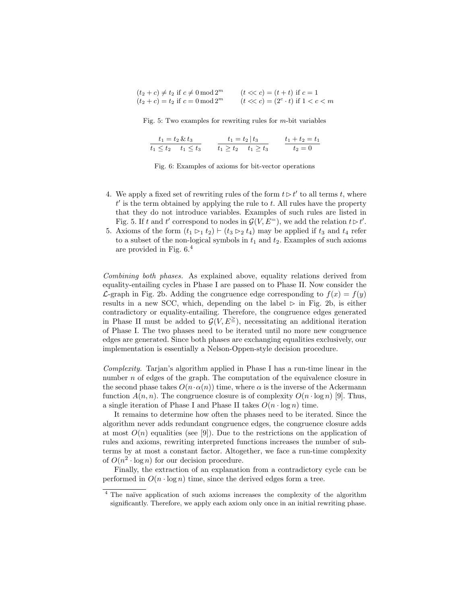| $(t_2+c)\neq t_2$ if $c\neq 0$ mod $2^m$ | $(t \ll c) = (t + t)$ if $c = 1$           |
|------------------------------------------|--------------------------------------------|
| $(t_2 + c) = t_2$ if $c = 0 \mod 2^m$    | $(t \ll c) = (2^c \cdot t)$ if $1 < c < m$ |

Fig. 5: Two examples for rewriting rules for  $m$ -bit variables

| $t_1 = t_2 \& t_3$          | $t_1 = t_2   t_3$       | $t_1 + t_2 = t_1$ |
|-----------------------------|-------------------------|-------------------|
| $t_1 < t_2 \quad t_1 < t_3$ | $t_1 > t_2$ $t_1 > t_3$ | $t_2 = 0$         |

Fig. 6: Examples of axioms for bit-vector operations

- 4. We apply a fixed set of rewriting rules of the form  $t \triangleright t'$  to all terms t, where  $t'$  is the term obtained by applying the rule to  $t$ . All rules have the property that they do not introduce variables. Examples of such rules are listed in Fig. 5. If t and t' correspond to nodes in  $\mathcal{G}(V, E^=)$ , we add the relation  $t \triangleright t'$ .
- 5. Axioms of the form  $(t_1 \rhd_1 t_2) \rhd (t_3 \rhd_2 t_4)$  may be applied if  $t_3$  and  $t_4$  refer to a subset of the non-logical symbols in  $t_1$  and  $t_2$ . Examples of such axioms are provided in Fig. 6.<sup>4</sup>

Combining both phases. As explained above, equality relations derived from equality-entailing cycles in Phase I are passed on to Phase II. Now consider the  $\mathcal{L}$ -graph in Fig. 2b. Adding the congruence edge corresponding to  $f(x) = f(y)$ results in a new SCC, which, depending on the label  $\triangleright$  in Fig. 2b, is either contradictory or equality-entailing. Therefore, the congruence edges generated in Phase II must be added to  $\mathcal{G}(V, E^{\geq})$ , necessitating an additional iteration of Phase I. The two phases need to be iterated until no more new congruence edges are generated. Since both phases are exchanging equalities exclusively, our implementation is essentially a Nelson-Oppen-style decision procedure.

Complexity. Tarjan's algorithm applied in Phase I has a run-time linear in the number  $n$  of edges of the graph. The computation of the equivalence closure in the second phase takes  $O(n \cdot \alpha(n))$  time, where  $\alpha$  is the inverse of the Ackermann function  $A(n, n)$ . The congruence closure is of complexity  $O(n \cdot \log n)$  [9]. Thus, a single iteration of Phase I and Phase II takes  $O(n \cdot \log n)$  time.

It remains to determine how often the phases need to be iterated. Since the algorithm never adds redundant congruence edges, the congruence closure adds at most  $O(n)$  equalities (see [9]). Due to the restrictions on the application of rules and axioms, rewriting interpreted functions increases the number of subterms by at most a constant factor. Altogether, we face a run-time complexity of  $O(n^2 \cdot \log n)$  for our decision procedure.

Finally, the extraction of an explanation from a contradictory cycle can be performed in  $O(n \cdot \log n)$  time, since the derived edges form a tree.

 $4$  The naïve application of such axioms increases the complexity of the algorithm significantly. Therefore, we apply each axiom only once in an initial rewriting phase.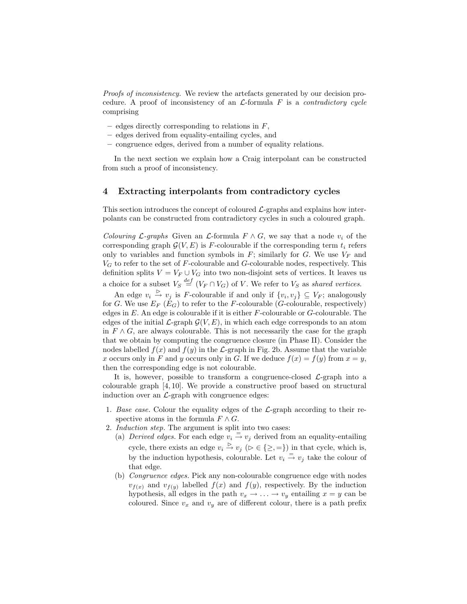Proofs of inconsistency. We review the artefacts generated by our decision procedure. A proof of inconsistency of an  $\mathcal{L}$ -formula F is a *contradictory cycle* comprising

- edges directly corresponding to relations in  $F$ ,
- edges derived from equality-entailing cycles, and
- congruence edges, derived from a number of equality relations.

In the next section we explain how a Craig interpolant can be constructed from such a proof of inconsistency.

#### 4 Extracting interpolants from contradictory cycles

This section introduces the concept of coloured  $\mathcal{L}$ -graphs and explains how interpolants can be constructed from contradictory cycles in such a coloured graph.

Colouring L-graphs Given an L-formula  $F \wedge G$ , we say that a node  $v_i$  of the corresponding graph  $\mathcal{G}(V, E)$  is F-colourable if the corresponding term  $t_i$  refers only to variables and function symbols in  $F$ ; similarly for  $G$ . We use  $V_F$  and  $V_G$  to refer to the set of F-colourable and G-colourable nodes, respectively. This definition splits  $V = V_F \cup V_G$  into two non-disjoint sets of vertices. It leaves us a choice for a subset  $V_S \stackrel{def}{=} (V_F \cap V_G)$  of V. We refer to  $V_S$  as shared vertices.

An edge  $v_i \stackrel{\triangleright}{\to} v_j$  is F-colourable if and only if  $\{v_i, v_j\} \subseteq V_F$ ; analogously for G. We use  $E_F(E_G)$  to refer to the F-colourable (G-colourable, respectively) edges in  $E$ . An edge is colourable if it is either  $F$ -colourable or  $G$ -colourable. The edges of the initial  $\mathcal{L}$ -graph  $\mathcal{G}(V, E)$ , in which each edge corresponds to an atom in  $F \wedge G$ , are always colourable. This is not necessarily the case for the graph that we obtain by computing the congruence closure (in Phase II). Consider the nodes labelled  $f(x)$  and  $f(y)$  in the L-graph in Fig. 2b. Assume that the variable x occurs only in F and y occurs only in G. If we deduce  $f(x) = f(y)$  from  $x = y$ , then the corresponding edge is not colourable.

It is, however, possible to transform a congruence-closed  $\mathcal{L}$ -graph into a colourable graph [4, 10]. We provide a constructive proof based on structural induction over an  $\mathcal{L}$ -graph with congruence edges:

- 1. Base case. Colour the equality edges of the  $\mathcal{L}$ -graph according to their respective atoms in the formula  $F \wedge G$ .
- 2. Induction step. The argument is split into two cases:
	- (a) Derived edges. For each edge  $v_i \stackrel{=}{\rightarrow} v_j$  derived from an equality-entailing cycle, there exists an edge  $v_i \overset{\triangleright}{\rightarrow} v_j$  ( $\triangleright \in \{\geq, =\}$ ) in that cycle, which is, by the induction hypothesis, colourable. Let  $v_i \stackrel{=}{\rightarrow} v_j$  take the colour of that edge.
	- (b) Congruence edges. Pick any non-colourable congruence edge with nodes  $v_{f(x)}$  and  $v_{f(y)}$  labelled  $f(x)$  and  $f(y)$ , respectively. By the induction hypothesis, all edges in the path  $v_x \rightarrow \ldots \rightarrow v_y$  entailing  $x = y$  can be coloured. Since  $v_x$  and  $v_y$  are of different colour, there is a path prefix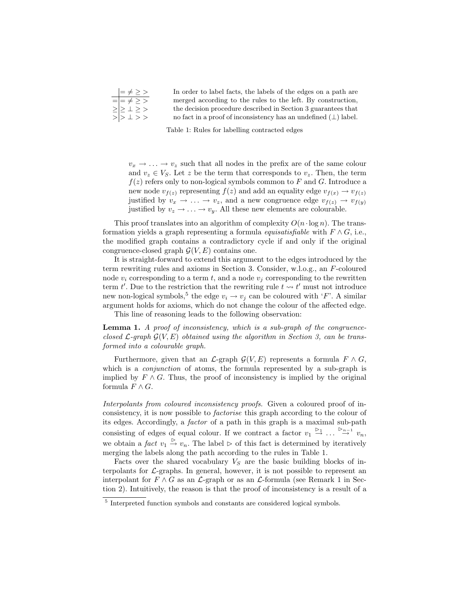| $\vert = \neq$ > >               | In order to label facts, the labels of the edges on a path are        |
|----------------------------------|-----------------------------------------------------------------------|
| $=$ $=$ $\neq$ $\geq$ $>$        | merged according to the rules to the left. By construction,           |
| $\geq$ $\geq$ $\perp$ $\geq$ $>$ | the decision procedure described in Section 3 guarantees that         |
| $>$ $>$ $\perp$ $>$ $>$          | no fact in a proof of inconsistency has an undefined $(\perp)$ label. |

Table 1: Rules for labelling contracted edges

 $v_x \rightarrow \ldots \rightarrow v_z$  such that all nodes in the prefix are of the same colour and  $v_z \in V_S$ . Let z be the term that corresponds to  $v_z$ . Then, the term  $f(z)$  refers only to non-logical symbols common to F and G. Introduce a new node  $v_{f(z)}$  representing  $f(z)$  and add an equality edge  $v_{f(x)} \to v_{f(z)}$ justified by  $v_x \to \ldots \to v_z$ , and a new congruence edge  $v_{f(z)} \to v_{f(y)}$ justified by  $v_z \rightarrow \ldots \rightarrow v_y$ . All these new elements are colourable.

This proof translates into an algorithm of complexity  $O(n \cdot \log n)$ . The transformation yields a graph representing a formula *equisatisfiable* with  $F \wedge G$ , i.e., the modified graph contains a contradictory cycle if and only if the original congruence-closed graph  $\mathcal{G}(V, E)$  contains one.

It is straight-forward to extend this argument to the edges introduced by the term rewriting rules and axioms in Section 3. Consider, w.l.o.g., an F-coloured node  $v_i$  corresponding to a term t, and a node  $v_j$  corresponding to the rewritten term t'. Due to the restriction that the rewriting rule  $t \leadsto t'$  must not introduce new non-logical symbols,<sup>5</sup> the edge  $v_i \rightarrow v_j$  can be coloured with 'F'. A similar argument holds for axioms, which do not change the colour of the affected edge.

This line of reasoning leads to the following observation:

Lemma 1. A proof of inconsistency, which is a sub-graph of the congruenceclosed  $\mathcal{L}$ -graph  $\mathcal{G}(V, E)$  obtained using the algorithm in Section 3, can be transformed into a colourable graph.

Furthermore, given that an  $\mathcal{L}\text{-graph }\mathcal{G}(V,E)$  represents a formula  $F \wedge G$ , which is a *conjunction* of atoms, the formula represented by a sub-graph is implied by  $F \wedge G$ . Thus, the proof of inconsistency is implied by the original formula  $F \wedge G$ .

Interpolants from coloured inconsistency proofs. Given a coloured proof of inconsistency, it is now possible to factorise this graph according to the colour of its edges. Accordingly, a factor of a path in this graph is a maximal sub-path consisting of edges of equal colour. If we contract a factor  $v_1 \stackrel{\triangleright_1}{\rightarrow} \dots \stackrel{\triangleright_{n-1}}{\rightarrow} v_n$ , we obtain a fact  $v_1 \overset{\triangleright}{\rightarrow} v_n$ . The label  $\rhd$  of this fact is determined by iteratively merging the labels along the path according to the rules in Table 1.

Facts over the shared vocabulary  $V<sub>S</sub>$  are the basic building blocks of interpolants for  $\mathcal{L}$ -graphs. In general, however, it is not possible to represent an interpolant for  $F \wedge G$  as an  $\mathcal{L}$ -graph or as an  $\mathcal{L}$ -formula (see Remark 1 in Section 2). Intuitively, the reason is that the proof of inconsistency is a result of a

<sup>5</sup> Interpreted function symbols and constants are considered logical symbols.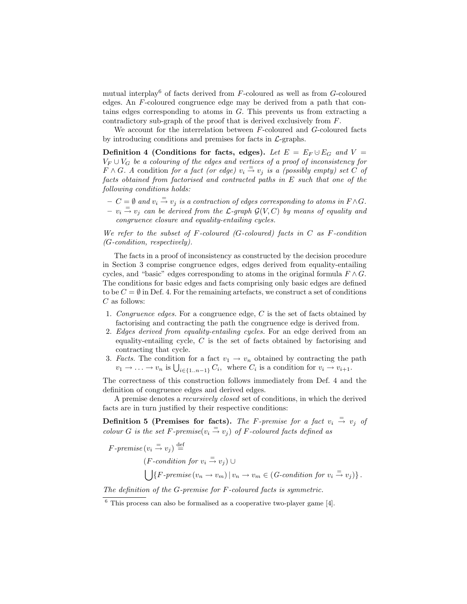mutual interplay<sup>6</sup> of facts derived from  $F$ -coloured as well as from  $G$ -coloured edges. An F-coloured congruence edge may be derived from a path that contains edges corresponding to atoms in G. This prevents us from extracting a contradictory sub-graph of the proof that is derived exclusively from F.

We account for the interrelation between F-coloured and G-coloured facts by introducing conditions and premises for facts in  $\mathcal{L}$ -graphs.

Definition 4 (Conditions for facts, edges). Let  $E = E_F \cup E_G$  and  $V =$  $V_F \cup V_G$  be a colouring of the edges and vertices of a proof of inconsistency for  $F \wedge G$ . A condition for a fact (or edge)  $v_i \stackrel{=}{\rightarrow} v_j$  is a (possibly empty) set C of facts obtained from factorised and contracted paths in E such that one of the following conditions holds:

 $C = \emptyset$  and  $v_i \stackrel{=}{\rightarrow} v_j$  is a contraction of edges corresponding to atoms in  $F \wedge G$ .  $- v_i \stackrel{=}{\rightarrow} v_j$  can be derived from the L-graph  $\mathcal{G}(V, C)$  by means of equality and congruence closure and equality-entailing cycles.

We refer to the subset of F-coloured (G-coloured) facts in  $C$  as F-condition (G-condition, respectively).

The facts in a proof of inconsistency as constructed by the decision procedure in Section 3 comprise congruence edges, edges derived from equality-entailing cycles, and "basic" edges corresponding to atoms in the original formula  $F \wedge G$ . The conditions for basic edges and facts comprising only basic edges are defined to be  $C = \emptyset$  in Def. 4. For the remaining artefacts, we construct a set of conditions  $C$  as follows:

- 1. Congruence edges. For a congruence edge,  $C$  is the set of facts obtained by factorising and contracting the path the congruence edge is derived from.
- 2. Edges derived from equality-entailing cycles. For an edge derived from an equality-entailing cycle, C is the set of facts obtained by factorising and contracting that cycle.
- 3. Facts. The condition for a fact  $v_1 \rightarrow v_n$  obtained by contracting the path  $v_1 \to \ldots \to v_n$  is  $\bigcup_{i \in \{1..n-1\}} C_i$ , where  $C_i$  is a condition for  $v_i \to v_{i+1}$ .

The correctness of this construction follows immediately from Def. 4 and the definition of congruence edges and derived edges.

A premise denotes a recursively closed set of conditions, in which the derived facts are in turn justified by their respective conditions:

Definition 5 (Premises for facts). The F-premise for a fact  $v_i \stackrel{=}{\rightarrow} v_j$  of colour G is the set F-premise( $v_i \stackrel{=}{\rightarrow} v_j$ ) of F-coloured facts defined as

 $F\text{-}premise(v_i \stackrel{=}{\rightarrow} v_j) \stackrel{\text{def}}{=}$  $(F\text{-}condition for v_i \stackrel{=}{\rightarrow} v_j) \cup$  $\left( \int \{F\text{-}premise\left(v_n \to v_m\right) \mid v_n \to v_m \in (G\text{-}condition \ for \ v_i \stackrel{=}{\to} v_j) \right\}.$ 

The definition of the G-premise for F-coloured facts is symmetric.

 $6$  This process can also be formalised as a cooperative two-player game [4].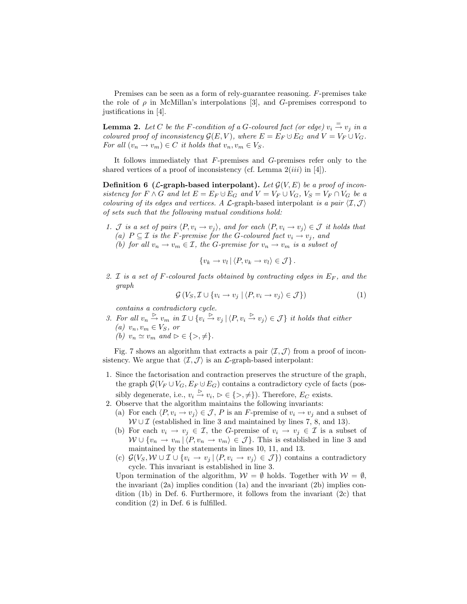Premises can be seen as a form of rely-guarantee reasoning. F-premises take the role of  $\rho$  in McMillan's interpolations [3], and G-premises correspond to justifications in [4].

**Lemma 2.** Let C be the F-condition of a G-coloured fact (or edge)  $v_i \stackrel{=}{\rightarrow} v_j$  in a coloured proof of inconsistency  $\mathcal{G}(E, V)$ , where  $E = E_F \cup E_G$  and  $V = V_F \cup V_G$ . For all  $(v_n \to v_m) \in C$  it holds that  $v_n, v_m \in V_S$ .

It follows immediately that F-premises and G-premises refer only to the shared vertices of a proof of inconsistency (cf. Lemma  $2(iii)$  in [4]).

**Definition 6 (L-graph-based interpolant).** Let  $\mathcal{G}(V, E)$  be a proof of inconsistency for  $F \wedge G$  and let  $E = E_F \cup E_G$  and  $V = V_F \cup V_G$ ,  $V_S = V_F \cap V_G$  be a colouring of its edges and vertices. A  $\mathcal{L}$ -graph-based interpolant is a pair  $\langle \mathcal{I}, \mathcal{J} \rangle$ of sets such that the following mutual conditions hold:

- 1. J is a set of pairs  $\langle P, v_i \rightarrow v_j \rangle$ , and for each  $\langle P, v_i \rightarrow v_j \rangle \in \mathcal{J}$  it holds that (a)  $P \subseteq \mathcal{I}$  is the F-premise for the G-coloured fact  $v_i \rightarrow v_j$ , and
	- (b) for all  $v_n \to v_m \in \mathcal{I}$ , the G-premise for  $v_n \to v_m$  is a subset of

$$
\{v_k \to v_l \mid \langle P, v_k \to v_l \rangle \in \mathcal{J}\}.
$$

2. I is a set of F-coloured facts obtained by contracting edges in  $E_F$ , and the graph

$$
\mathcal{G}\left(V_S, \mathcal{I}\cup\{v_i \to v_j \mid \langle P, v_i \to v_j \rangle \in \mathcal{J}\}\right) \tag{1}
$$

contains a contradictory cycle.

3. For all  $v_n \stackrel{\triangleright}{\rightarrow} v_m$  in  $\mathcal{I} \cup \{v_i \stackrel{\triangleright}{\rightarrow} v_j \mid \langle P, v_i \stackrel{\triangleright}{\rightarrow} v_j \rangle \in \mathcal{J}\}$  it holds that either (a)  $v_n, v_m \in V_S$ , or (b)  $v_n \simeq v_m$  and  $\rhd \in \{\gt, \neq\}.$ 

Fig. 7 shows an algorithm that extracts a pair  $\langle \mathcal{I}, \mathcal{J} \rangle$  from a proof of inconsistency. We argue that  $\langle \mathcal{I}, \mathcal{J} \rangle$  is an  $\mathcal{L}$ -graph-based interpolant:

- 1. Since the factorisation and contraction preserves the structure of the graph, the graph  $\mathcal{G}(V_F \cup V_G, E_F \cup E_G)$  contains a contradictory cycle of facts (possibly degenerate, i.e.,  $v_i \overset{\triangleright}{\rightarrow} v_i, \triangleright \in \{>, \neq\}$ ). Therefore,  $E_C$  exists.
- 2. Observe that the algorithm maintains the following invariants:
	- (a) For each  $\langle P, v_i \to v_j \rangle \in \mathcal{J}, P$  is an F-premise of  $v_i \to v_j$  and a subset of  $W \cup \mathcal{I}$  (established in line 3 and maintained by lines 7, 8, and 13).
	- (b) For each  $v_i \to v_j \in \mathcal{I}$ , the G-premise of  $v_i \to v_j \in \mathcal{I}$  is a subset of  $W \cup \{v_n \to v_m | \langle P, v_n \to v_m \rangle \in \mathcal{J} \}.$  This is established in line 3 and maintained by the statements in lines 10, 11, and 13.
	- (c)  $\mathcal{G}(V_S, \mathcal{W} \cup \mathcal{I} \cup \{v_i \rightarrow v_j | \langle P, v_i \rightarrow v_j \rangle \in \mathcal{J} \})$  contains a contradictory cycle. This invariant is established in line 3.

Upon termination of the algorithm,  $W = \emptyset$  holds. Together with  $W = \emptyset$ , the invariant  $(2a)$  implies condition  $(1a)$  and the invariant  $(2b)$  implies condition (1b) in Def. 6. Furthermore, it follows from the invariant (2c) that condition (2) in Def. 6 is fulfilled.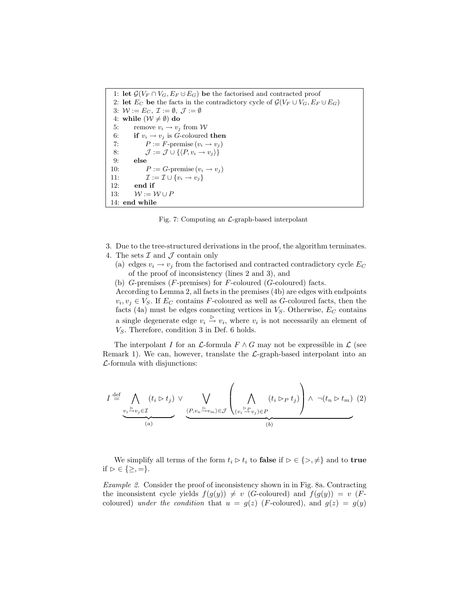1: let  $\mathcal{G}(V_F \cap V_G, E_F \cup E_G)$  be the factorised and contracted proof 2: let  $E_C$  be the facts in the contradictory cycle of  $\mathcal{G}(V_F \cup V_G, E_F \cup E_G)$ 3:  $W := E_C$ ,  $\mathcal{I} := \emptyset$ ,  $\mathcal{J} := \emptyset$ 4: while  $(\mathcal{W} \neq \emptyset)$  do 5: remove  $v_i \rightarrow v_j$  from W 6: if  $v_i \rightarrow v_j$  is *G*-coloured then 7:  $P := F\text{-premise}(v_i \to v_j)$ 8:  $\mathcal{J} := \mathcal{J} \cup \{ \langle P, v_i \rightarrow v_j \rangle \}$ 9: else 10:  $P := G$ -premise  $(v_i \rightarrow v_j)$ 11:  $\mathcal{I} := \mathcal{I} \cup \{v_i \rightarrow v_j\}$ 12: end if 13:  $W := W \cup P$ 14: end while

Fig. 7: Computing an  $\mathcal{L}$ -graph-based interpolant

- 3. Due to the tree-structured derivations in the proof, the algorithm terminates.
- 4. The sets  $\mathcal I$  and  $\mathcal J$  contain only
	- (a) edges  $v_i \rightarrow v_j$  from the factorised and contracted contradictory cycle  $E_C$ of the proof of inconsistency (lines 2 and 3), and
	- (b)  $G$ -premises ( $F$ -premises) for  $F$ -coloured ( $G$ -coloured) facts.

According to Lemma 2, all facts in the premises (4b) are edges with endpoints  $v_i, v_j \in V_S$ . If  $E_C$  contains F-coloured as well as G-coloured facts, then the facts (4a) must be edges connecting vertices in  $V_S$ . Otherwise,  $E_C$  contains a single degenerate edge  $v_i \stackrel{\triangleright}{\rightarrow} v_i$ , where  $v_i$  is not necessarily an element of  $V<sub>S</sub>$ . Therefore, condition 3 in Def. 6 holds.

The interpolant I for an  $\mathcal L$ -formula  $F \wedge G$  may not be expressible in  $\mathcal L$  (see Remark 1). We can, however, translate the  $\mathcal{L}$ -graph-based interpolant into an  $\mathcal{L}$ -formula with disjunctions:

$$
I \stackrel{\text{def}}{=} \bigwedge_{\substack{v_i \stackrel{v_i \supset v_j \in \mathcal{I}}{(a)}}} (t_i \triangleright t_j) \vee \bigvee_{\substack{\langle P, v_n \stackrel{v_i \supset v_m \supset \mathcal{E}}{(v_i \stackrel{v_i \supset v_j \supset \mathcal{E}}{b'})}} \left(\bigwedge_{\substack{(v_i \stackrel{v_i \supset v_j \supset \mathcal{E}}{(b')}}} (t_i \triangleright p \ t_j) \right) \wedge \neg (t_n \triangleright t_m) \tag{2}
$$

We simplify all terms of the form  $t_i \triangleright t_i$  to **false** if  $\triangleright \in \{>, \neq\}$  and to **true** if  $\triangleright \in \{\geq, =\}.$ 

Example 2. Consider the proof of inconsistency shown in in Fig. 8a. Contracting the inconsistent cycle yields  $f(g(y)) \neq v$  (G-coloured) and  $f(g(y)) = v$  (Fcoloured) under the condition that  $u = g(z)$  (*F*-coloured), and  $g(z) = g(y)$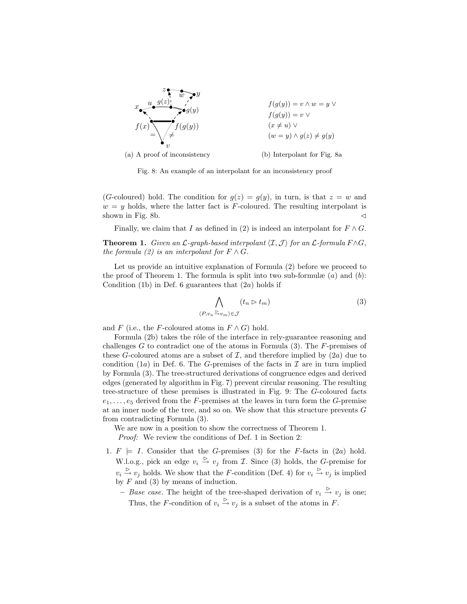

Fig. 8: An example of an interpolant for an inconsistency proof

(G-coloured) hold. The condition for  $g(z) = g(y)$ , in turn, is that  $z = w$  and  $w = y$  holds, where the latter fact is F-coloured. The resulting interpolant is shown in Fig. 8b.  $\triangleleft$ 

Finally, we claim that I as defined in (2) is indeed an interpolant for  $F \wedge G$ .

**Theorem 1.** Given an L-graph-based interpolant  $\langle I,\mathcal{J}\rangle$  for an L-formula  $F\wedge G$ , the formula (2) is an interpolant for  $F \wedge G$ .

Let us provide an intuitive explanation of Formula (2) before we proceed to the proof of Theorem 1. The formula is split into two sub-formulæ  $(a)$  and  $(b)$ : Condition (1b) in Def. 6 guarantees that  $(2a)$  holds if

$$
\bigwedge_{P,v_n \xrightarrow{\rhd} v_m \rhd \in \mathcal{J}} (t_n \rhd t_m) \tag{3}
$$

and F (i.e., the F-coloured atoms in  $F \wedge G$ ) hold.

 $\langle$ 

Formula (2b) takes the rôle of the interface in rely-guarantee reasoning and challenges  $G$  to contradict one of the atoms in Formula  $(3)$ . The F-premises of these G-coloured atoms are a subset of  $\mathcal{I}$ , and therefore implied by  $(2a)$  due to condition (1a) in Def. 6. The G-premises of the facts in  $\mathcal I$  are in turn implied by Formula (3). The tree-structured derivations of congruence edges and derived edges (generated by algorithm in Fig. 7) prevent circular reasoning. The resulting tree-structure of these premises is illustrated in Fig. 9: The G-coloured facts  $e_1, \ldots, e_5$  derived from the F-premises at the leaves in turn form the G-premise at an inner node of the tree, and so on. We show that this structure prevents  $G$ from contradicting Formula (3).

We are now in a position to show the correctness of Theorem 1. Proof: We review the conditions of Def. 1 in Section 2:

1.  $F \models I$ . Consider that the G-premises (3) for the F-facts in (2a) hold. W.l.o.g., pick an edge  $v_i \stackrel{\triangleright}{\rightarrow} v_j$  from *T*. Since (3) holds, the *G*-premise for  $v_i \overset{\triangleright}{\rightarrow} v_j$  holds. We show that the *F*-condition (Def. 4) for  $v_i \overset{\triangleright}{\rightarrow} v_j$  is implied by  $F$  and (3) by means of induction.

- Base case. The height of the tree-shaped derivation of  $v_i \stackrel{\triangleright}{\rightarrow} v_j$  is one; Thus, the F-condition of  $v_i \overset{\triangleright}{\rightarrow} v_j$  is a subset of the atoms in F.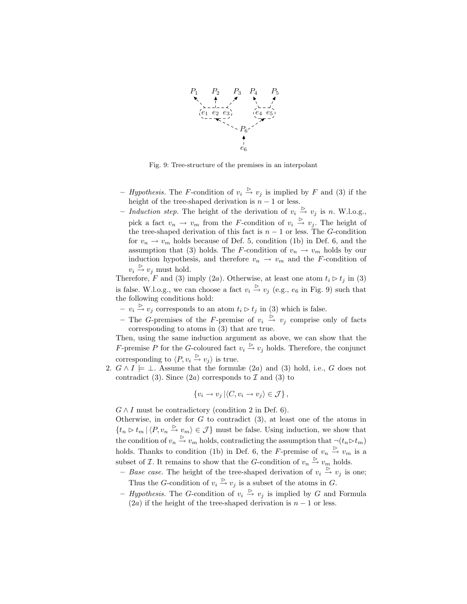

Fig. 9: Tree-structure of the premises in an interpolant

- Hypothesis. The F-condition of  $v_i \overset{\triangleright}{\rightarrow} v_j$  is implied by F and (3) if the height of the tree-shaped derivation is  $n - 1$  or less.
- Induction step. The height of the derivation of  $v_i \stackrel{\triangleright}{\rightarrow} v_j$  is n. W.l.o.g., pick a fact  $v_n \to v_m$  from the F-condition of  $v_i \stackrel{\triangleright}{\to} v_j$ . The height of the tree-shaped derivation of this fact is  $n - 1$  or less. The G-condition for  $v_n \to v_m$  holds because of Def. 5, condition (1b) in Def. 6, and the assumption that (3) holds. The F-condition of  $v_n \to v_m$  holds by our induction hypothesis, and therefore  $v_n \to v_m$  and the F-condition of  $v_i \overset{\triangleright}{\rightarrow} v_j$  must hold.

Therefore, F and (3) imply (2a). Otherwise, at least one atom  $t_i \triangleright t_j$  in (3) is false. W.l.o.g., we can choose a fact  $v_i \stackrel{\triangleright}{\rightarrow} v_j$  (e.g.,  $e_6$  in Fig. 9) such that the following conditions hold:

- $v_i \overset{\triangleright}{\rightarrow} v_j$  corresponds to an atom  $t_i \triangleright t_j$  in (3) which is false.
- The G-premises of the F-premise of  $v_i \stackrel{\triangleright}{\rightarrow} v_j$  comprise only of facts corresponding to atoms in (3) that are true.

Then, using the same induction argument as above, we can show that the F-premise P for the G-coloured fact  $v_i \stackrel{\triangleright}{\to} v_j$  holds. Therefore, the conjunct corresponding to  $\langle P, v_i \stackrel{\triangleright}{\rightarrow} v_j \rangle$  is true.

2.  $G \wedge I \models \bot$ . Assume that the formulæ  $(2a)$  and  $(3)$  hold, i.e., G does not contradict (3). Since  $(2a)$  corresponds to  $\mathcal I$  and (3) to

$$
\{v_i \to v_j \mid \langle C, v_i \to v_j \rangle \in \mathcal{J}\},\
$$

 $G \wedge I$  must be contradictory (condition 2 in Def. 6).

Otherwise, in order for  $G$  to contradict  $(3)$ , at least one of the atoms in  ${t_n \triangleright t_m | \langle P, v_n \stackrel{\triangleright}{\to} v_m \rangle \in \mathcal{J}}$  must be false. Using induction, we show that the condition of  $v_n \stackrel{\triangleright}{\rightarrow} v_m$  holds, contradicting the assumption that  $\neg (t_n \triangleright t_m)$ holds. Thanks to condition (1b) in Def. 6, the F-premise of  $v_n \overset{\triangleright}{\rightarrow} v_m$  is a subset of  $\mathcal I$ . It remains to show that the G-condition of  $v_n \overset{\triangleright}{\to} v_m$  holds.

- Base case. The height of the tree-shaped derivation of  $v_i \overset{\sim}{\rightarrow} v_j$  is one; Thus the G-condition of  $v_i \overset{\triangleright}{\rightarrow} v_j$  is a subset of the atoms in G.
- *Hypothesis*. The G-condition of  $v_i \stackrel{\triangleright}{\rightarrow} v_j$  is implied by G and Formula (2a) if the height of the tree-shaped derivation is  $n - 1$  or less.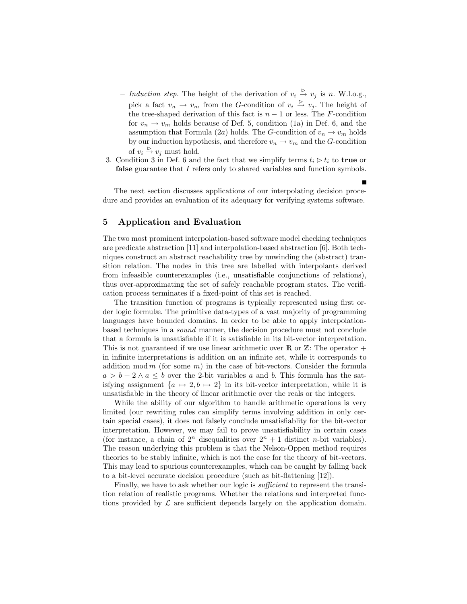- Induction step. The height of the derivation of  $v_i \stackrel{\triangleright}{\rightarrow} v_j$  is n. W.l.o.g., pick a fact  $v_n \to v_m$  from the G-condition of  $v_i \stackrel{\triangleright}{\to} v_j$ . The height of the tree-shaped derivation of this fact is  $n - 1$  or less. The F-condition for  $v_n \to v_m$  holds because of Def. 5, condition (1a) in Def. 6, and the assumption that Formula (2a) holds. The G-condition of  $v_n \to v_m$  holds by our induction hypothesis, and therefore  $v_n \to v_m$  and the G-condition of  $v_i \overset{\triangleright}{\rightarrow} v_j$  must hold.
- 3. Condition 3 in Def. 6 and the fact that we simplify terms  $t_i \triangleright t_i$  to true or false guarantee that I refers only to shared variables and function symbols.

The next section discusses applications of our interpolating decision procedure and provides an evaluation of its adequacy for verifying systems software.

## 5 Application and Evaluation

The two most prominent interpolation-based software model checking techniques are predicate abstraction [11] and interpolation-based abstraction [6]. Both techniques construct an abstract reachability tree by unwinding the (abstract) transition relation. The nodes in this tree are labelled with interpolants derived from infeasible counterexamples (i.e., unsatisfiable conjunctions of relations), thus over-approximating the set of safely reachable program states. The verification process terminates if a fixed-point of this set is reached.

The transition function of programs is typically represented using first order logic formulæ. The primitive data-types of a vast majority of programming languages have bounded domains. In order to be able to apply interpolationbased techniques in a sound manner, the decision procedure must not conclude that a formula is unsatisfiable if it is satisfiable in its bit-vector interpretation. This is not guaranteed if we use linear arithmetic over  $\mathbb R$  or  $\mathbb Z$ : The operator + in infinite interpretations is addition on an infinite set, while it corresponds to addition mod m (for some m) in the case of bit-vectors. Consider the formula  $a > b + 2 \wedge a \leq b$  over the 2-bit variables a and b. This formula has the satisfying assignment  $\{a \mapsto 2, b \mapsto 2\}$  in its bit-vector interpretation, while it is unsatisfiable in the theory of linear arithmetic over the reals or the integers.

While the ability of our algorithm to handle arithmetic operations is very limited (our rewriting rules can simplify terms involving addition in only certain special cases), it does not falsely conclude unsatisfiablity for the bit-vector interpretation. However, we may fail to prove unsatisfiability in certain cases (for instance, a chain of  $2^n$  disequalities over  $2^n + 1$  distinct *n*-bit variables). The reason underlying this problem is that the Nelson-Oppen method requires theories to be stably infinite, which is not the case for the theory of bit-vectors. This may lead to spurious counterexamples, which can be caught by falling back to a bit-level accurate decision procedure (such as bit-flattening [12]).

Finally, we have to ask whether our logic is *sufficient* to represent the transition relation of realistic programs. Whether the relations and interpreted functions provided by  $\mathcal L$  are sufficient depends largely on the application domain.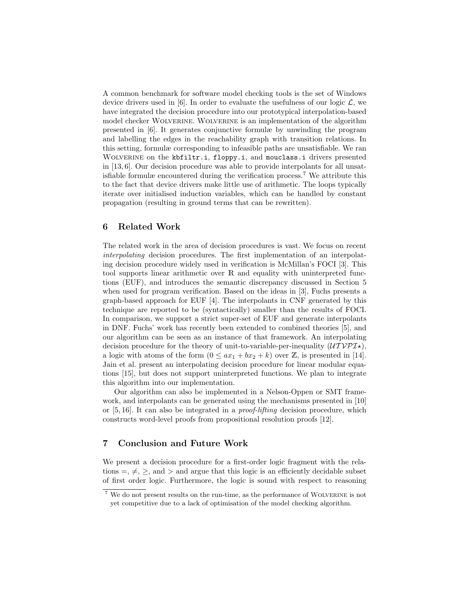A common benchmark for software model checking tools is the set of Windows device drivers used in [6]. In order to evaluate the usefulness of our logic  $\mathcal{L}$ , we have integrated the decision procedure into our prototypical interpolation-based model checker Wolverine. Wolverine is an implementation of the algorithm presented in [6]. It generates conjunctive formulæ by unwinding the program and labelling the edges in the reachability graph with transition relations. In this setting, formulæ corresponding to infeasible paths are unsatisfiable. We ran WOLVERINE on the kbfiltr.i, floppy.i, and mouclass.i drivers presented in [13, 6]. Our decision procedure was able to provide interpolants for all unsatisfiable formulæ encountered during the verification process.<sup>7</sup> We attribute this to the fact that device drivers make little use of arithmetic. The loops typically iterate over initialised induction variables, which can be handled by constant propagation (resulting in ground terms that can be rewritten).

#### 6 Related Work

The related work in the area of decision procedures is vast. We focus on recent interpolating decision procedures. The first implementation of an interpolating decision procedure widely used in verification is McMillan's FOCI [3]. This tool supports linear arithmetic over R and equality with uninterpreted functions (EUF), and introduces the semantic discrepancy discussed in Section 5 when used for program verification. Based on the ideas in [3], Fuchs presents a graph-based approach for EUF [4]. The interpolants in CNF generated by this technique are reported to be (syntactically) smaller than the results of FOCI. In comparison, we support a strict super-set of EUF and generate interpolants in DNF. Fuchs' work has recently been extended to combined theories [5], and our algorithm can be seen as an instance of that framework. An interpolating decision procedure for the theory of unit-to-variable-per-inequality  $(UTV\mathcal{PI}\mathcal{F}),$ a logic with atoms of the form  $(0 \le ax_1 + bx_2 + k)$  over Z, is presented in [14]. Jain et al. present an interpolating decision procedure for linear modular equations [15], but does not support uninterpreted functions. We plan to integrate this algorithm into our implementation.

Our algorithm can also be implemented in a Nelson-Oppen or SMT framework, and interpolants can be generated using the mechanisms presented in [10] or [5, 16]. It can also be integrated in a proof-lifting decision procedure, which constructs word-level proofs from propositional resolution proofs [12].

## 7 Conclusion and Future Work

We present a decision procedure for a first-order logic fragment with the relations  $=$ ,  $\neq$ ,  $>$ , and  $>$  and argue that this logic is an efficiently decidable subset of first order logic. Furthermore, the logic is sound with respect to reasoning

 $7$  We do not present results on the run-time, as the performance of WOLVERINE is not yet competitive due to a lack of optimisation of the model checking algorithm.